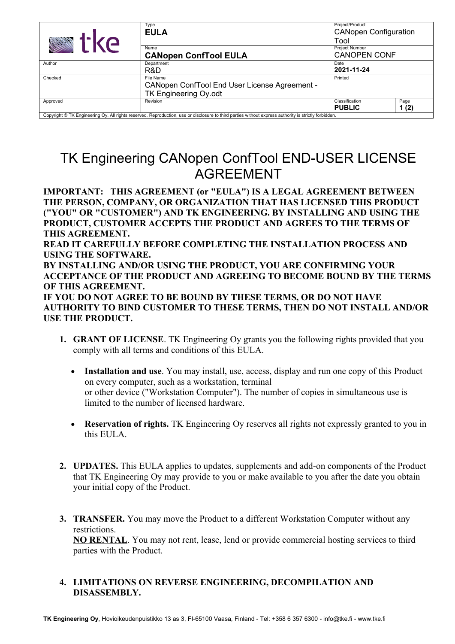| tke                                                                                                                                                   | Type<br><b>EULA</b>                                                                 | Project/Product<br><b>CANopen Configuration</b><br>Tool |              |
|-------------------------------------------------------------------------------------------------------------------------------------------------------|-------------------------------------------------------------------------------------|---------------------------------------------------------|--------------|
|                                                                                                                                                       | Name<br><b>CANopen ConfTool EULA</b>                                                | <b>Project Number</b><br><b>CANOPEN CONF</b>            |              |
| Author                                                                                                                                                | Department<br>R&D                                                                   | Date<br>2021-11-24                                      |              |
| Checked                                                                                                                                               | File Name<br>CANopen ConfTool End User License Agreement -<br>TK Engineering Oy.odt | Printed                                                 |              |
| Approved                                                                                                                                              | Revision                                                                            | Classification<br><b>PUBLIC</b>                         | Page<br>1(2) |
| Copyright © TK Engineering Oy. All rights reserved. Reproduction, use or disclosure to third parties without express authority is strictly forbidden. |                                                                                     |                                                         |              |

## TK Engineering CANopen ConfTool END-USER LICENSE AGREEMENT

**IMPORTANT: THIS AGREEMENT (or "EULA") IS A LEGAL AGREEMENT BETWEEN THE PERSON, COMPANY, OR ORGANIZATION THAT HAS LICENSED THIS PRODUCT ("YOU" OR "CUSTOMER") AND TK ENGINEERING. BY INSTALLING AND USING THE PRODUCT, CUSTOMER ACCEPTS THE PRODUCT AND AGREES TO THE TERMS OF THIS AGREEMENT. READ IT CAREFULLY BEFORE COMPLETING THE INSTALLATION PROCESS AND USING THE SOFTWARE.**

**BY INSTALLING AND/OR USING THE PRODUCT, YOU ARE CONFIRMING YOUR ACCEPTANCE OF THE PRODUCT AND AGREEING TO BECOME BOUND BY THE TERMS OF THIS AGREEMENT.**

**IF YOU DO NOT AGREE TO BE BOUND BY THESE TERMS, OR DO NOT HAVE AUTHORITY TO BIND CUSTOMER TO THESE TERMS, THEN DO NOT INSTALL AND/OR USE THE PRODUCT.**

- **1. GRANT OF LICENSE**. TK Engineering Oy grants you the following rights provided that you comply with all terms and conditions of this EULA.
	- **Installation and use**. You may install, use, access, display and run one copy of this Product on every computer, such as a workstation, terminal or other device ("Workstation Computer"). The number of copies in simultaneous use is limited to the number of licensed hardware.
	- **Reservation of rights.** TK Engineering Oy reserves all rights not expressly granted to you in this EULA.
- **2. UPDATES.** This EULA applies to updates, supplements and add-on components of the Product that TK Engineering Oy may provide to you or make available to you after the date you obtain your initial copy of the Product.
- **3. TRANSFER.** You may move the Product to a different Workstation Computer without any restrictions. **NO RENTAL**. You may not rent, lease, lend or provide commercial hosting services to third parties with the Product.

## **4. LIMITATIONS ON REVERSE ENGINEERING, DECOMPILATION AND DISASSEMBLY.**